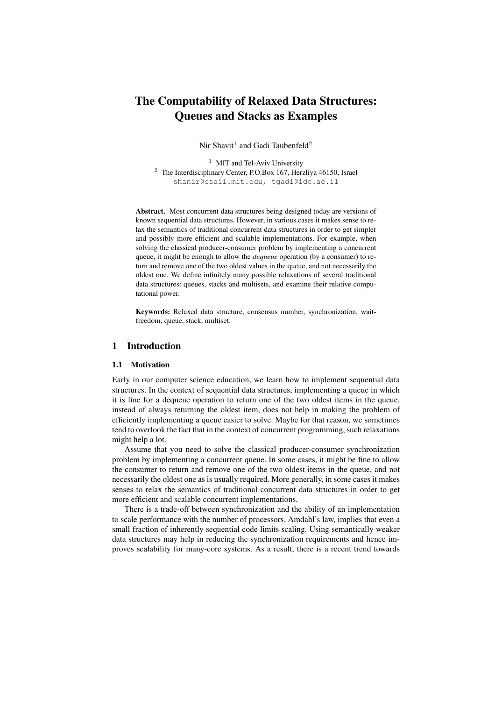# The Computability of Relaxed Data Structures: Queues and Stacks as Examples

Nir Shavit $^1$  and Gadi Taubenfeld $^2$ 

<sup>1</sup> MIT and Tel-Aviv University <sup>2</sup> The Interdisciplinary Center, P.O.Box 167, Herzliya 46150, Israel shanir@csail.mit.edu, tgadi@idc.ac.il

Abstract. Most concurrent data structures being designed today are versions of known sequential data structures. However, in various cases it makes sense to relax the semantics of traditional concurrent data structures in order to get simpler and possibly more efficient and scalable implementations. For example, when solving the classical producer-consumer problem by implementing a concurrent queue, it might be enough to allow the *dequeue* operation (by a consumer) to return and remove one of the two oldest values in the queue, and not necessarily the oldest one. We define infinitely many possible relaxations of several traditional data structures: queues, stacks and multisets, and examine their relative computational power.

Keywords: Relaxed data structure, consensus number, synchronization, waitfreedom, queue, stack, multiset.

## 1 Introduction

#### 1.1 Motivation

Early in our computer science education, we learn how to implement sequential data structures. In the context of sequential data structures, implementing a queue in which it is fine for a dequeue operation to return one of the two oldest items in the queue, instead of always returning the oldest item, does not help in making the problem of efficiently implementing a queue easier to solve. Maybe for that reason, we sometimes tend to overlook the fact that in the context of concurrent programming, such relaxations might help a lot.

Assume that you need to solve the classical producer-consumer synchronization problem by implementing a concurrent queue. In some cases, it might be fine to allow the consumer to return and remove one of the two oldest items in the queue, and not necessarily the oldest one as is usually required. More generally, in some cases it makes senses to relax the semantics of traditional concurrent data structures in order to get more efficient and scalable concurrent implementations.

There is a trade-off between synchronization and the ability of an implementation to scale performance with the number of processors. Amdahl's law, implies that even a small fraction of inherently sequential code limits scaling. Using semantically weaker data structures may help in reducing the synchronization requirements and hence improves scalability for many-core systems. As a result, there is a recent trend towards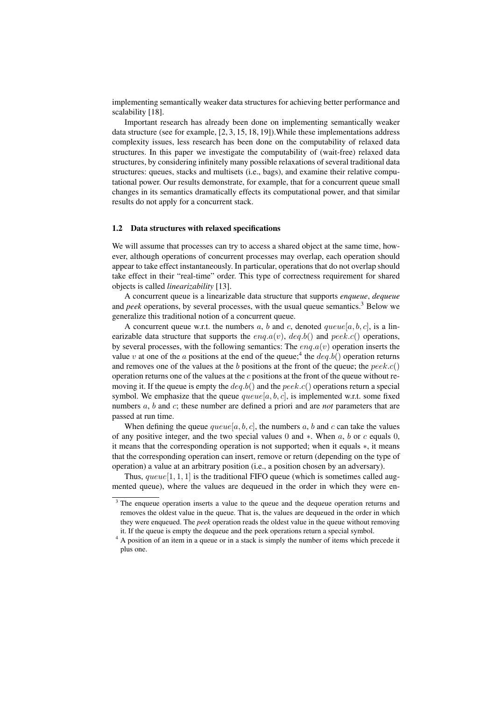implementing semantically weaker data structures for achieving better performance and scalability [18].

Important research has already been done on implementing semantically weaker data structure (see for example, [2, 3, 15, 18, 19]).While these implementations address complexity issues, less research has been done on the computability of relaxed data structures. In this paper we investigate the computability of (wait-free) relaxed data structures, by considering infinitely many possible relaxations of several traditional data structures: queues, stacks and multisets (i.e., bags), and examine their relative computational power. Our results demonstrate, for example, that for a concurrent queue small changes in its semantics dramatically effects its computational power, and that similar results do not apply for a concurrent stack.

#### 1.2 Data structures with relaxed specifications

We will assume that processes can try to access a shared object at the same time, however, although operations of concurrent processes may overlap, each operation should appear to take effect instantaneously. In particular, operations that do not overlap should take effect in their "real-time" order. This type of correctness requirement for shared objects is called *linearizability* [13].

A concurrent queue is a linearizable data structure that supports *enqueue*, *dequeue* and *peek* operations, by several processes, with the usual queue semantics.<sup>3</sup> Below we generalize this traditional notion of a concurrent queue.

A concurrent queue w.r.t. the numbers  $a, b$  and  $c$ , denoted *queue*[ $a, b, c$ ], is a linearizable data structure that supports the  $ena_0(v)$ ,  $dea_0(b)$  and  $peek_0(c)$  operations, by several processes, with the following semantics: The *enq.a*(*v*) operation inserts the value *v* at one of the *a* positions at the end of the queue;<sup>4</sup> the  $deq.b()$  operation returns and removes one of the values at the *b* positions at the front of the queue; the  $peek.c()$ operation returns one of the values at the *c* positions at the front of the queue without removing it. If the queue is empty the *deq.b*() and the *peek.c*() operations return a special symbol. We emphasize that the queue  $queue[a, b, c]$ , is implemented w.r.t. some fixed numbers *a*, *b* and *c*; these number are defined a priori and are *not* parameters that are passed at run time.

When defining the queue  $queue[a, b, c]$ , the numbers  $a, b$  and  $c$  can take the values of any positive integer, and the two special values 0 and *∗*. When *a*, *b* or *c* equals 0, it means that the corresponding operation is not supported; when it equals *∗*, it means that the corresponding operation can insert, remove or return (depending on the type of operation) a value at an arbitrary position (i.e., a position chosen by an adversary).

Thus,  $queue[1, 1, 1]$  is the traditional FIFO queue (which is sometimes called augmented queue), where the values are dequeued in the order in which they were en-

<sup>&</sup>lt;sup>3</sup> The enqueue operation inserts a value to the queue and the dequeue operation returns and removes the oldest value in the queue. That is, the values are dequeued in the order in which they were enqueued. The *peek* operation reads the oldest value in the queue without removing it. If the queue is empty the dequeue and the peek operations return a special symbol.

<sup>&</sup>lt;sup>4</sup> A position of an item in a queue or in a stack is simply the number of items which precede it plus one.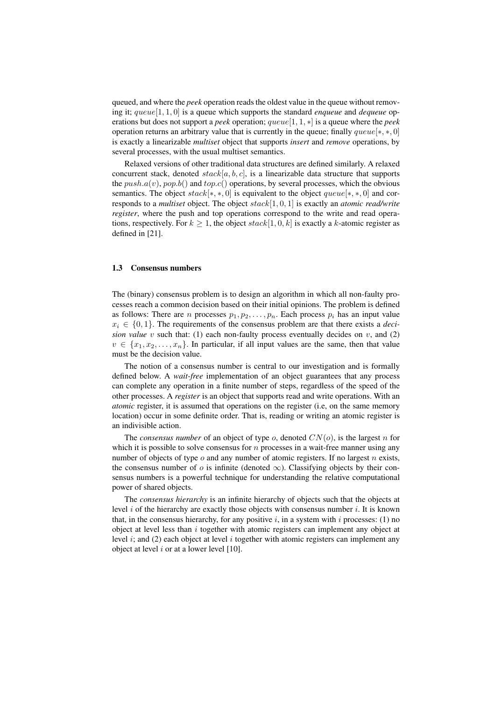queued, and where the *peek* operation reads the oldest value in the queue without removing it; *queue*[1*,* 1*,* 0] is a queue which supports the standard *enqueue* and *dequeue* operations but does not support a *peek* operation; *queue*[1*,* 1*, ∗*] is a queue where the *peek* operation returns an arbitrary value that is currently in the queue; finally *queue*[*∗, ∗,* 0] is exactly a linearizable *multiset* object that supports *insert* and *remove* operations, by several processes, with the usual multiset semantics.

Relaxed versions of other traditional data structures are defined similarly. A relaxed concurrent stack, denoted *stack*[*a, b, c*], is a linearizable data structure that supports the  $push.a(v)$ ,  $pop.b()$  and  $top.c()$  operations, by several processes, which the obvious semantics. The object *stack*[*∗, ∗,* 0] is equivalent to the object *queue*[*∗, ∗,* 0] and corresponds to a *multiset* object. The object *stack*[1*,* 0*,* 1] is exactly an *atomic read/write register*, where the push and top operations correspond to the write and read operations, respectively. For  $k \geq 1$ , the object  $stack[1, 0, k]$  is exactly a *k*-atomic register as defined in [21].

#### 1.3 Consensus numbers

The (binary) consensus problem is to design an algorithm in which all non-faulty processes reach a common decision based on their initial opinions. The problem is defined as follows: There are *n* processes  $p_1, p_2, \ldots, p_n$ . Each process  $p_i$  has an input value  $x_i \in \{0, 1\}$ . The requirements of the consensus problem are that there exists a *decision value v* such that: (1) each non-faulty process eventually decides on *v*, and (2)  $v \in \{x_1, x_2, \ldots, x_n\}$ . In particular, if all input values are the same, then that value must be the decision value.

The notion of a consensus number is central to our investigation and is formally defined below. A *wait-free* implementation of an object guarantees that any process can complete any operation in a finite number of steps, regardless of the speed of the other processes. A *register* is an object that supports read and write operations. With an *atomic* register, it is assumed that operations on the register (i.e, on the same memory location) occur in some definite order. That is, reading or writing an atomic register is an indivisible action.

The *consensus number* of an object of type *o*, denoted *CN*(*o*), is the largest *n* for which it is possible to solve consensus for *n* processes in a wait-free manner using any number of objects of type *o* and any number of atomic registers. If no largest *n* exists, the consensus number of  $\sigma$  is infinite (denoted  $\infty$ ). Classifying objects by their consensus numbers is a powerful technique for understanding the relative computational power of shared objects.

The *consensus hierarchy* is an infinite hierarchy of objects such that the objects at level *i* of the hierarchy are exactly those objects with consensus number *i*. It is known that, in the consensus hierarchy, for any positive  $i$ , in a system with  $i$  processes: (1) no object at level less than *i* together with atomic registers can implement any object at level *i*; and (2) each object at level *i* together with atomic registers can implement any object at level *i* or at a lower level [10].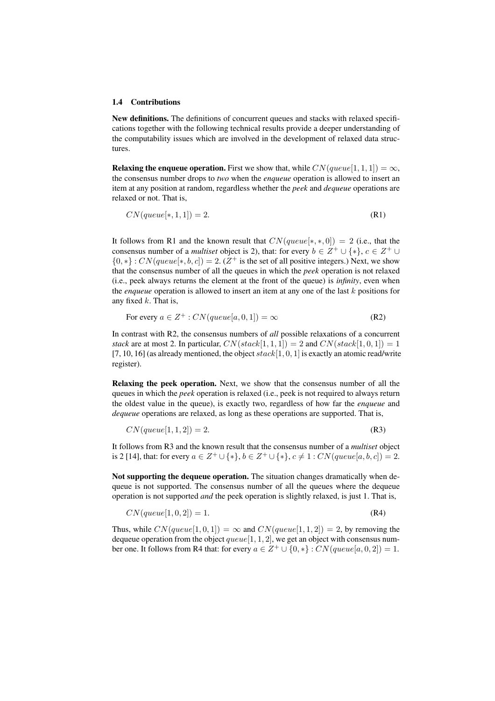#### 1.4 Contributions

New definitions. The definitions of concurrent queues and stacks with relaxed specifications together with the following technical results provide a deeper understanding of the computability issues which are involved in the development of relaxed data structures.

**Relaxing the enqueue operation.** First we show that, while  $CN(queue[1, 1, 1]) = \infty$ , the consensus number drops to *two* when the *enqueue* operation is allowed to insert an item at any position at random, regardless whether the *peek* and *dequeue* operations are relaxed or not. That is,

$$
CN(queue[*, 1, 1]) = 2.
$$
 (R1)

It follows from R1 and the known result that  $CN(queue[*, *, 0]) = 2$  (i.e., that the consensus number of a *multiset* object is 2), that: for every  $b \in Z^+ \cup \{*\}$ ,  $c \in Z^+ \cup$  ${0,*}$  :  $CN(queue[*, b, c]) = 2$ . ( $Z^+$  is the set of all positive integers.) Next, we show that the consensus number of all the queues in which the *peek* operation is not relaxed (i.e., peek always returns the element at the front of the queue) is *infinity*, even when the *enqueue* operation is allowed to insert an item at any one of the last *k* positions for any fixed *k*. That is,

For every 
$$
a \in Z^+ : CN(queue[a, 0, 1]) = \infty
$$
 (R2)

In contrast with R2, the consensus numbers of *all* possible relaxations of a concurrent *stack* are at most 2. In particular,  $CN(state[1, 1, 1]) = 2$  and  $CN(state[1, 0, 1]) = 1$ [7, 10, 16] (as already mentioned, the object *stack*[1*,* 0*,* 1] is exactly an atomic read/write register).

Relaxing the peek operation. Next, we show that the consensus number of all the queues in which the *peek* operation is relaxed (i.e., peek is not required to always return the oldest value in the queue), is exactly two, regardless of how far the *enqueue* and *dequeue* operations are relaxed, as long as these operations are supported. That is,

$$
CN(queue[1, 1, 2]) = 2.
$$
 (R3)

It follows from R3 and the known result that the consensus number of a *multiset* object is 2 [14], that: for every  $a \in Z^+ \cup \{*\}$ ,  $b \in Z^+ \cup \{*\}$ ,  $c \neq 1$  :  $CN(queue[a, b, c]) = 2$ .

Not supporting the dequeue operation. The situation changes dramatically when dequeue is not supported. The consensus number of all the queues where the dequeue operation is not supported *and* the peek operation is slightly relaxed, is just 1. That is,

$$
CN(queue[1, 0, 2]) = 1.
$$
\n(R4)

Thus, while  $CN(queue[1, 0, 1]) = \infty$  and  $CN(queue[1, 1, 2]) = 2$ , by removing the dequeue operation from the object *queue*[1*,* 1*,* 2], we get an object with consensus number one. It follows from R4 that: for every  $a \in Z^+ \cup \{0, *\}$ :  $CN(queue[a, 0, 2]) = 1$ .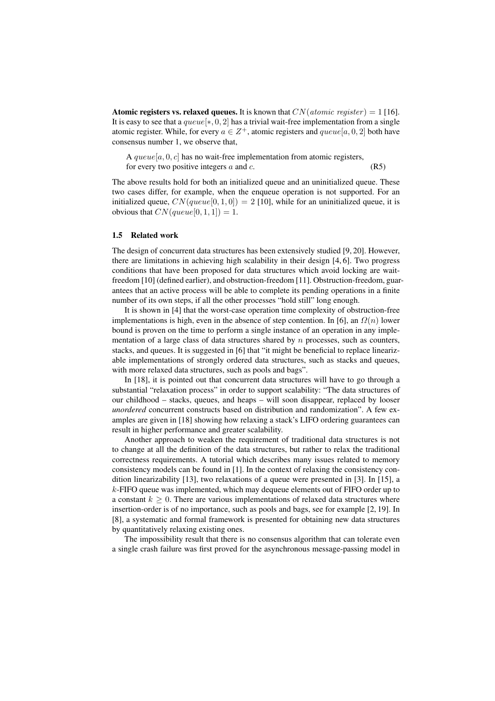**Atomic registers vs. relaxed queues.** It is known that  $CN(atomic \, register) = 1$  [16]. It is easy to see that a *queue*[*∗,* 0*,* 2] has a trivial wait-free implementation from a single atomic register. While, for every  $a \in Z^+$ , atomic registers and  $queue[a, 0, 2]$  both have consensus number 1, we observe that,

A *queue*[*a,* 0*, c*] has no wait-free implementation from atomic registers, for every two positive integers *a* and *c*. (R5)

The above results hold for both an initialized queue and an uninitialized queue. These two cases differ, for example, when the enqueue operation is not supported. For an initialized queue,  $CN(queue[0,1,0]) = 2$  [10], while for an uninitialized queue, it is obvious that  $CN(queue[0,1,1]) = 1$ .

#### 1.5 Related work

The design of concurrent data structures has been extensively studied [9, 20]. However, there are limitations in achieving high scalability in their design [4, 6]. Two progress conditions that have been proposed for data structures which avoid locking are waitfreedom [10] (defined earlier), and obstruction-freedom [11]. Obstruction-freedom, guarantees that an active process will be able to complete its pending operations in a finite number of its own steps, if all the other processes "hold still" long enough.

It is shown in [4] that the worst-case operation time complexity of obstruction-free implementations is high, even in the absence of step contention. In [6], an *Ω*(*n*) lower bound is proven on the time to perform a single instance of an operation in any implementation of a large class of data structures shared by *n* processes, such as counters, stacks, and queues. It is suggested in [6] that "it might be beneficial to replace linearizable implementations of strongly ordered data structures, such as stacks and queues, with more relaxed data structures, such as pools and bags".

In [18], it is pointed out that concurrent data structures will have to go through a substantial "relaxation process" in order to support scalability: "The data structures of our childhood – stacks, queues, and heaps – will soon disappear, replaced by looser *unordered* concurrent constructs based on distribution and randomization". A few examples are given in [18] showing how relaxing a stack's LIFO ordering guarantees can result in higher performance and greater scalability.

Another approach to weaken the requirement of traditional data structures is not to change at all the definition of the data structures, but rather to relax the traditional correctness requirements. A tutorial which describes many issues related to memory consistency models can be found in [1]. In the context of relaxing the consistency condition linearizability [13], two relaxations of a queue were presented in [3]. In [15], a *k*-FIFO queue was implemented, which may dequeue elements out of FIFO order up to a constant  $k \geq 0$ . There are various implementations of relaxed data structures where insertion-order is of no importance, such as pools and bags, see for example [2, 19]. In [8], a systematic and formal framework is presented for obtaining new data structures by quantitatively relaxing existing ones.

The impossibility result that there is no consensus algorithm that can tolerate even a single crash failure was first proved for the asynchronous message-passing model in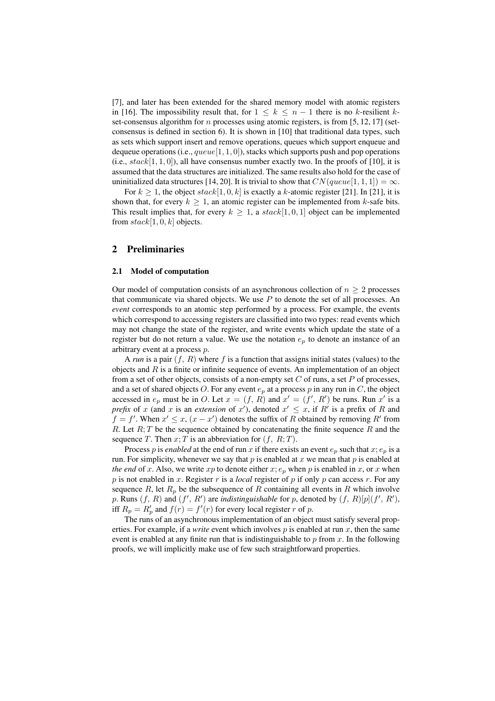[7], and later has been extended for the shared memory model with atomic registers in [16]. The impossibility result that, for 1 *≤ k ≤ n −* 1 there is no *k*-resilient *k*set-consensus algorithm for *n* processes using atomic registers, is from [5, 12, 17] (setconsensus is defined in section 6). It is shown in [10] that traditional data types, such as sets which support insert and remove operations, queues which support enqueue and dequeue operations (i.e., *queue*[1*,* 1*,* 0]), stacks which supports push and pop operations (i.e.,  $stack[1,1,0]$ ), all have consensus number exactly two. In the proofs of [10], it is assumed that the data structures are initialized. The same results also hold for the case of uninitialized data structures [14, 20]. It is trivial to show that  $CN(queue[1, 1, 1]) = \infty$ .

For  $k \ge 1$ , the object  $stack[1, 0, k]$  is exactly a *k*-atomic register [21]. In [21], it is shown that, for every  $k \geq 1$ , an atomic register can be implemented from  $k$ -safe bits. This result implies that, for every  $k \geq 1$ , a  $stack[1,0,1]$  object can be implemented from  $stack[1,0,k]$  objects.

## 2 Preliminaries

#### 2.1 Model of computation

Our model of computation consists of an asynchronous collection of  $n \geq 2$  processes that communicate via shared objects. We use  $P$  to denote the set of all processes. An *event* corresponds to an atomic step performed by a process. For example, the events which correspond to accessing registers are classified into two types: read events which may not change the state of the register, and write events which update the state of a register but do not return a value. We use the notation  $e_p$  to denote an instance of an arbitrary event at a process *p*.

A *run* is a pair (*f, R*) where *f* is a function that assigns initial states (values) to the objects and *R* is a finite or infinite sequence of events. An implementation of an object from a set of other objects, consists of a non-empty set *C* of runs, a set *P* of processes, and a set of shared objects O. For any event  $e_p$  at a process p in any run in C, the object accessed in  $e_p$  must be in *O*. Let  $x = (f, R)$  and  $x' = (f', R')$  be runs. Run  $x'$  is a *prefix* of *x* (and *x* is an *extension* of *x'*), denoted  $x' \leq x$ , if  $R'$  is a prefix of  $R$  and  $f = f'$ . When  $x' \leq x$ ,  $(x - x')$  denotes the suffix of *R* obtained by removing *R'* from *R*. Let *R*; *T* be the sequence obtained by concatenating the finite sequence *R* and the sequence *T*. Then  $x$ ; *T* is an abbreviation for  $(f, R; T)$ .

Process *p* is *enabled* at the end of run *x* if there exists an event  $e_p$  such that  $x$ ;  $e_p$  is a run. For simplicity, whenever we say that *p* is enabled at *x* we mean that *p* is enabled at *the end* of *x*. Also, we write *xp* to denote either *x*;  $e_p$  when *p* is enabled in *x*, or *x* when *p* is not enabled in *x*. Register *r* is a *local* register of *p* if only *p* can access *r*. For any sequence  $R$ , let  $R_p$  be the subsequence of  $R$  containing all events in  $R$  which involve p. Runs  $(f, R)$  and  $(f', R')$  are *indistinguishable* for *p*, denoted by  $(f, R)[p](f', R')$ , iff  $R_p = R'_p$  and  $f(r) = f'(r)$  for every local register *r* of *p*.

The runs of an asynchronous implementation of an object must satisfy several properties. For example, if a *write* event which involves  $p$  is enabled at run  $x$ , then the same event is enabled at any finite run that is indistinguishable to *p* from *x*. In the following proofs, we will implicitly make use of few such straightforward properties.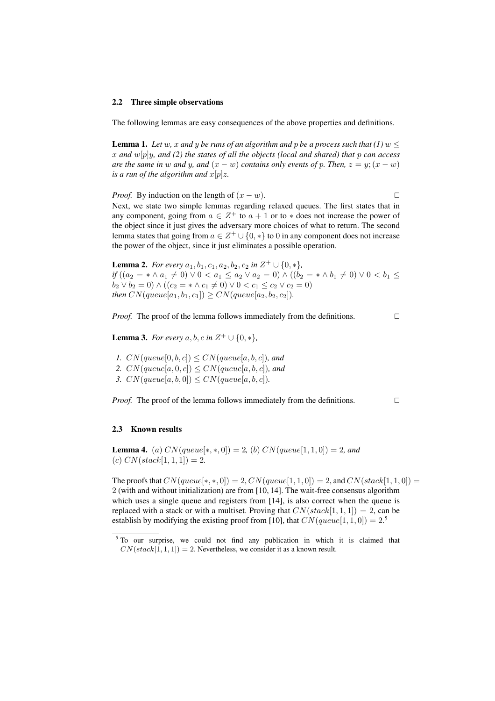#### 2.2 Three simple observations

The following lemmas are easy consequences of the above properties and definitions.

**Lemma 1.** Let w, x and y be runs of an algorithm and p be a process such that (1)  $w \leq$ *x and w*[*p*]*y, and (2) the states of all the objects (local and shared) that p can access are the same in w and y*, *and*  $(x - w)$  *contains only events of p*. *Then,*  $z = y$ ;  $(x - w)$ *is a run of the algorithm and x*[*p*]*z.*

*Proof.* By induction on the length of  $(x - w)$ .  $\Box$ Next, we state two simple lemmas regarding relaxed queues. The first states that in any component, going from  $a \in \mathbb{Z}^+$  to  $a + 1$  or to  $*$  does not increase the power of the object since it just gives the adversary more choices of what to return. The second lemma states that going from  $a \in Z^+ \cup \{0, *\}$  to 0 in any component does not increase the power of the object, since it just eliminates a possible operation.

**Lemma 2.** *For every*  $a_1, b_1, c_1, a_2, b_2, c_2$  *in*  $Z^+ \cup \{0, *\}$ , *if*  $((a_2 = * ∧ a_1 ≠ 0) ∨ 0 < a_1 ≤ a_2 ∨ a_2 = 0) ∧ ((b_2 = * ∧ b_1 ≠ 0) ∨ 0 < b_1 ≤$ *b*<sub>2</sub>  $∨$  *b*<sub>2</sub> = 0)  $∧ ((c_2 = * ∧ c_1 \neq 0) ∨ 0 < c_1 ≤ c_2 ∨ c_2 = 0)$ *then*  $CN(queue[a_1, b_1, c_1]) \geq CN(queue[a_2, b_2, c_2])$ .

*Proof.* The proof of the lemma follows immediately from the definitions.  $□$ 

**Lemma 3.** *For every a*, *b*, *c in*  $Z^+ \cup \{0, *\}$ ,

*1.*  $CN(queue[0, b, c]) \leq CN(queue[a, b, c])$ *, and* 

- 2.  $CN(queue[a, 0, c]) \leq CN(queue[a, b, c])$ *, and*
- *3.*  $CN(queue[a, b, 0]) \leq CN(queue[a, b, c])$ .

*Proof.* The proof of the lemma follows immediately from the definitions.  $□$ 

#### 2.3 Known results

**Lemma 4.** (*a*)  $CN(queue[*, *, 0]) = 2$ , (*b*)  $CN(queue[1, 1, 0]) = 2$ , and  $(c) CN(state[1, 1, 1]) = 2.$ 

The proofs that  $CN(queue[*, *, 0]) = 2$ ,  $CN(queue[1, 1, 0]) = 2$ , and  $CN(state[1, 1, 0]) =$ 2 (with and without initialization) are from [10, 14]. The wait-free consensus algorithm which uses a single queue and registers from [14], is also correct when the queue is replaced with a stack or with a multiset. Proving that  $CN(state[1, 1, 1]) = 2$ , can be establish by modifying the existing proof from [10], that  $CN(queue[1, 1, 0]) = 2$ <sup>5</sup>

<sup>&</sup>lt;sup>5</sup> To our surprise, we could not find any publication in which it is claimed that  $CN(state[1, 1, 1]) = 2$ . Nevertheless, we consider it as a known result.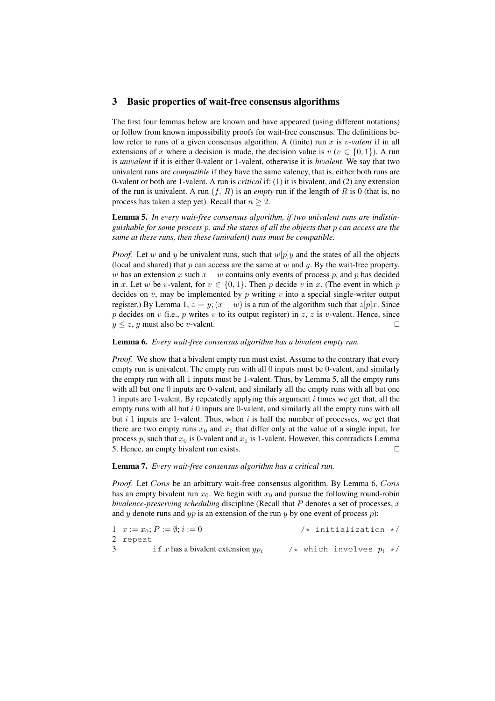### 3 Basic properties of wait-free consensus algorithms

The first four lemmas below are known and have appeared (using different notations) or follow from known impossibility proofs for wait-free consensus. The definitions below refer to runs of a given consensus algorithm. A (finite) run *x* is *v-valent* if in all extensions of *x* where a decision is made, the decision value is  $v$  ( $v \in \{0, 1\}$ ). A run is *univalent* if it is either 0-valent or 1-valent, otherwise it is *bivalent*. We say that two univalent runs are *compatible* if they have the same valency, that is, either both runs are 0-valent or both are 1-valent. A run is *critical* if: (1) it is bivalent, and (2) any extension of the run is univalent. A run (*f, R*) is an *empty* run if the length of *R* is 0 (that is, no process has taken a step yet). Recall that  $n \geq 2$ .

Lemma 5. *In every wait-free consensus algorithm, if two univalent runs are indistinguishable for some process p, and the states of all the objects that p can access are the same at these runs, then these (univalent) runs must be compatible.*

*Proof.* Let *w* and *y* be univalent runs, such that *w*[*p*]*y* and the states of all the objects (local and shared) that  $p$  can access are the same at  $w$  and  $y$ . By the wait-free property, *w* has an extension *x* such  $x - w$  contains only events of process *p*, and *p* has decided in *x*. Let *w* be *v*-valent, for  $v \in \{0, 1\}$ . Then *p* decide *v* in *x*. (The event in which *p* decides on  $v$ , may be implemented by  $p$  writing  $v$  into a special single-writer output register.) By Lemma 1,  $z = y$ ;  $(x - w)$  is a run of the algorithm such that  $z[p]x$ . Since *p* decides on *v* (i.e., *p* writes *v* to its output register) in *z*, *z* is *v*-valent. Hence, since *y*  $\lt z$ , *y* must also be *v*-valent.  $□$ 

## Lemma 6. *Every wait-free consensus algorithm has a bivalent empty run.*

*Proof.* We show that a bivalent empty run must exist. Assume to the contrary that every empty run is univalent. The empty run with all 0 inputs must be 0-valent, and similarly the empty run with all 1 inputs must be 1-valent. Thus, by Lemma 5, all the empty runs with all but one 0 inputs are 0-valent, and similarly all the empty runs with all but one 1 inputs are 1-valent. By repeatedly applying this argument *i* times we get that, all the empty runs with all but *i* 0 inputs are 0-valent, and similarly all the empty runs with all but *i* 1 inputs are 1-valent. Thus, when *i* is half the number of processes, we get that there are two empty runs  $x_0$  and  $x_1$  that differ only at the value of a single input, for process p, such that  $x_0$  is 0-valent and  $x_1$  is 1-valent. However, this contradicts Lemma 5. Hence, an empty bivalent run exists. *⊓⊔*

#### Lemma 7. *Every wait-free consensus algorithm has a critical run.*

*Proof.* Let *Cons* be an arbitrary wait-free consensus algorithm. By Lemma 6, *Cons* has an empty bivalent run  $x_0$ . We begin with  $x_0$  and pursue the following round-robin *bivalence-preserving scheduling* discipline (Recall that *P* denotes a set of processes, *x* and *y* denote runs and *yp* is an extension of the run *y* by one event of process *p*):

|   | 1 $x := x_0$ ; $P := \emptyset$ ; $i := 0$ |  | $/*$ initialization $*/$   |  |
|---|--------------------------------------------|--|----------------------------|--|
|   | 2 repeat                                   |  |                            |  |
| 3 | if x has a bivalent extension $up_i$       |  | /* which involves $p_i$ */ |  |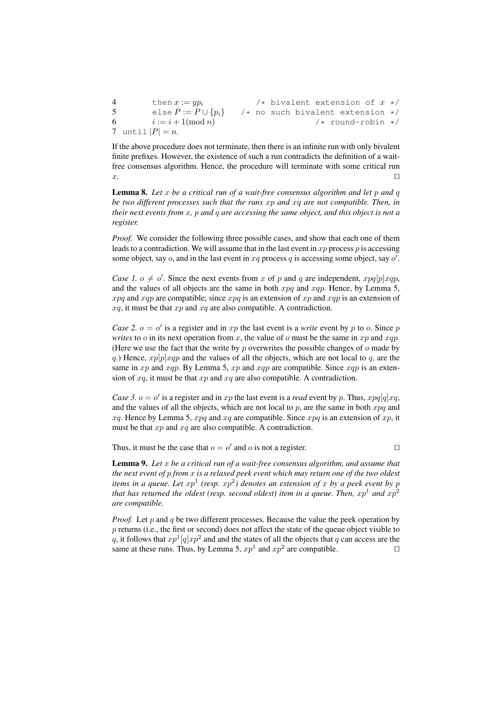4 then  $x := yp_i$  /\* bivalent extension of  $x */5$  else  $P := P \cup \{p_i\}$  /\* no such bivalent extension \*/ 5 else  $P := P \cup \{p_i\}$  /\* no such bivalent extension \*/<br>6  $i := i + 1 \pmod{n}$  /\* round-robin \*/ 6 *i* := *i* + 1(mod *n*) /\* round-robin \*/ 7 until  $|P| = n$ .

If the above procedure does not terminate, then there is an infinite run with only bivalent finite prefixes. However, the existence of such a run contradicts the definition of a waitfree consensus algorithm. Hence, the procedure will terminate with some critical run *x*. *⊓⊔*

Lemma 8. *Let x be a critical run of a wait-free consensus algorithm and let p and q be two different processes such that the runs xp and xq are not compatible. Then, in their next events from x, p and q are accessing the same object, and this object is not a register.*

*Proof.* We consider the following three possible cases, and show that each one of them leads to a contradiction. We will assume that in the last event in *xp* process *p* is accessing some object, say *o*, and in the last event in *xq* process *q* is accessing some object, say *o ′* .

*Case 1. o*  $\neq$  *o'*. Since the next events from *x* of *p* and *q* are independent, *xpq*[*p*]*xqp*, and the values of all objects are the same in both *xpq* and *xqp*. Hence, by Lemma 5, *xpq* and *xqp* are compatible; since *xpq* is an extension of *xp* and *xqp* is an extension of *xq*, it must be that *xp* and *xq* are also compatible. A contradiction.

*Case 2.*  $o = o'$  is a register and in *xp* the last event is a *write* event by *p* to *o*. Since *p writes* to *o* in its next operation from *x*, the value of *o* must be the same in  $xp$  and  $xqp$ . (Here we use the fact that the write by *p* overwrites the possible changes of *o* made by *q*.) Hence, *xp*[*p*]*xqp* and the values of all the objects, which are not local to *q*, are the same in *xp* and *xqp*. By Lemma 5, *xp* and *xqp* are compatible. Since *xqp* is an extension of *xq*, it must be that *xp* and *xq* are also compatible. A contradiction.

*Case 3.*  $o = o'$  is a register and in *xp* the last event is a *read* event by *p*. Thus,  $xpq[q]xq$ , and the values of all the objects, which are not local to *p*, are the same in both *xpq* and *xq*. Hence by Lemma 5, *xpq* and *xq* are compatible. Since *xpq* is an extension of *xp*, it must be that *xp* and *xq* are also compatible. A contradiction.

Thus, it must be the case that  $o = o'$  and *o* is not a register.  $□$ 

Lemma 9. *Let x be a critical run of a wait-free consensus algorithm, and assume that the next event of p from x is a relaxed peek event which may return one of the two oldest items in a queue. Let*  $xp^1$  (resp.  $xp^2$ ) denotes an extension of  $x$  by a peek event by  $p$ *that has returned the oldest (resp. second oldest) item in a queue. Then,*  $xp^1$  *and*  $xp^2$ *are compatible.*

*Proof.* Let *p* and *q* be two different processes. Because the value the peek operation by *p* returns (i.e., the first or second) does not affect the state of the queue object visible to *q*, it follows that  $xp^{1}[q]xp^{2}$  and and the states of all the objects that *q* can access are the same at these runs. Thus, by Lemma 5,  $xp^1$  and  $xp^2$  are compatible.  $\Box$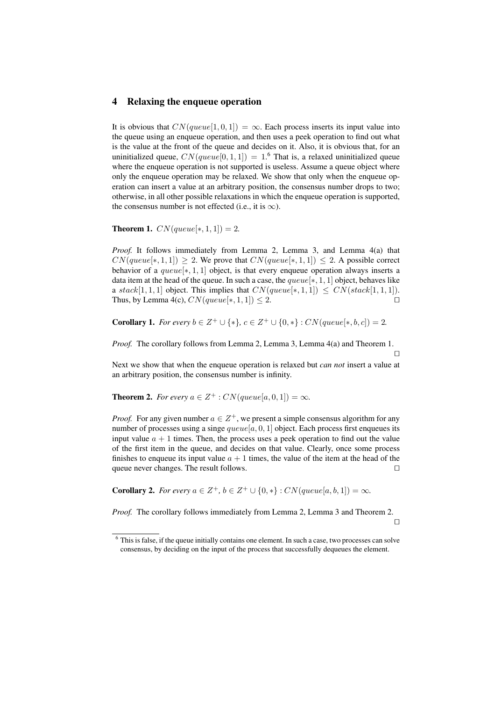## 4 Relaxing the enqueue operation

It is obvious that  $CN(queue[1, 0, 1]) = \infty$ . Each process inserts its input value into the queue using an enqueue operation, and then uses a peek operation to find out what is the value at the front of the queue and decides on it. Also, it is obvious that, for an uninitialized queue,  $CN(queue[0,1,1]) = 1.6$  That is, a relaxed uninitialized queue where the enqueue operation is not supported is useless. Assume a queue object where only the enqueue operation may be relaxed. We show that only when the enqueue operation can insert a value at an arbitrary position, the consensus number drops to two; otherwise, in all other possible relaxations in which the enqueue operation is supported, the consensus number is not effected (i.e., it is  $\infty$ ).

**Theorem 1.**  $CN(queue[*, 1, 1]) = 2$ .

*Proof.* It follows immediately from Lemma 2, Lemma 3, and Lemma 4(a) that  $CN(queue[*, 1, 1]) > 2$ . We prove that  $CN(queue[*, 1, 1]) < 2$ . A possible correct behavior of a *queue*[*∗,* 1*,* 1] object, is that every enqueue operation always inserts a data item at the head of the queue. In such a case, the *queue*[*∗,* 1*,* 1] object, behaves like a stack[1, 1, 1] object. This implies that  $CN(queue[*, 1, 1]) \leq CN(stack[1, 1, 1]).$ Thus, by Lemma 4(c),  $CN(queue[*, 1, 1]) \leq 2$ .  $□$ 

**Corollary 1.** *For every*  $b \in Z^+ \cup \{*\}$ ,  $c \in Z^+ \cup \{0,*\}$  :  $CN(queue[*, b, c]) = 2$ .

*Proof.* The corollary follows from Lemma 2, Lemma 3, Lemma 4(a) and Theorem 1. *⊓⊔*

Next we show that when the enqueue operation is relaxed but *can not* insert a value at an arbitrary position, the consensus number is infinity.

**Theorem 2.** *For every*  $a \in Z^+$  :  $CN(queue[a, 0, 1]) = \infty$ .

*Proof.* For any given number  $a \in \mathbb{Z}^+$ , we present a simple consensus algorithm for any number of processes using a singe *queue*[a, 0, 1] object. Each process first enqueues its input value  $a + 1$  times. Then, the process uses a peek operation to find out the value of the first item in the queue, and decides on that value. Clearly, once some process finishes to enqueue its input value  $a + 1$  times, the value of the item at the head of the queue never changes. The result follows. *⊓⊔*

**Corollary 2.** *For every*  $a \in Z^+$ ,  $b \in Z^+ \cup \{0, *\}$  :  $CN(queue[a, b, 1]) = \infty$ .

*Proof.* The corollary follows immediately from Lemma 2, Lemma 3 and Theorem 2.

*⊓⊔*

<sup>&</sup>lt;sup>6</sup> This is false, if the queue initially contains one element. In such a case, two processes can solve consensus, by deciding on the input of the process that successfully dequeues the element.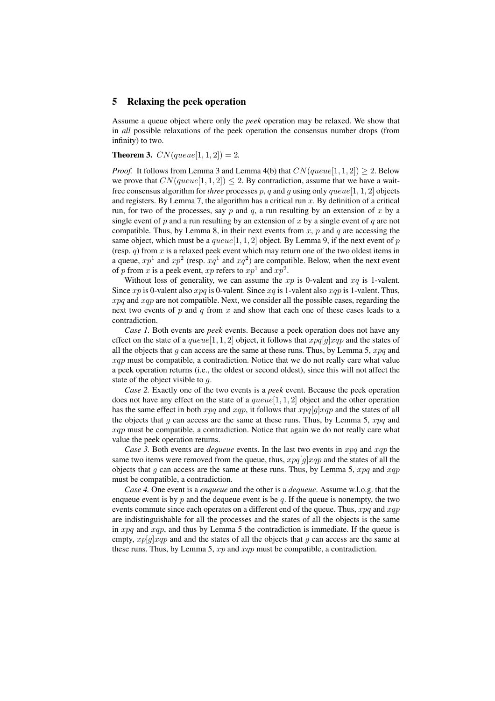## 5 Relaxing the peek operation

Assume a queue object where only the *peek* operation may be relaxed. We show that in *all* possible relaxations of the peek operation the consensus number drops (from infinity) to two.

**Theorem 3.**  $CN(queue[1, 1, 2]) = 2$ .

*Proof.* It follows from Lemma 3 and Lemma 4(b) that  $CN(queue[1, 1, 2]) \geq 2$ . Below we prove that  $CN(queue[1, 1, 2]) \leq 2$ . By contradiction, assume that we have a waitfree consensus algorithm for *three* processes p, q and q using only  $queue[1, 1, 2]$  objects and registers. By Lemma 7, the algorithm has a critical run *x*. By definition of a critical run, for two of the processes, say *p* and *q*, a run resulting by an extension of *x* by a single event of *p* and a run resulting by an extension of *x* by a single event of *q* are not compatible. Thus, by Lemma 8, in their next events from  $x$ ,  $p$  and  $q$  are accessing the same object, which must be a  $queue[1, 1, 2]$  object. By Lemma 9, if the next event of  $p$ (resp.  $q$ ) from  $x$  is a relaxed peek event which may return one of the two oldest items in a queue,  $xp^1$  and  $xp^2$  (resp.  $xq^1$  and  $xq^2$ ) are compatible. Below, when the next event of *p* from *x* is a peek event, *xp* refers to  $xp^1$  and  $xp^2$ .

Without loss of generality, we can assume the *xp* is 0-valent and *xq* is 1-valent. Since *xp* is 0-valent also *xpq* is 0-valent. Since *xq* is 1-valent also *xqp* is 1-valent. Thus, *xpq* and *xqp* are not compatible. Next, we consider all the possible cases, regarding the next two events of *p* and *q* from *x* and show that each one of these cases leads to a contradiction.

*Case 1.* Both events are *peek* events. Because a peek operation does not have any effect on the state of a  $queue[1, 1, 2]$  object, it follows that  $xpq[q]xqp$  and the states of all the objects that *g* can access are the same at these runs. Thus, by Lemma 5, *xpq* and *xqp* must be compatible, a contradiction. Notice that we do not really care what value a peek operation returns (i.e., the oldest or second oldest), since this will not affect the state of the object visible to *g*.

*Case 2.* Exactly one of the two events is a *peek* event. Because the peek operation does not have any effect on the state of a *queue*[1*,* 1*,* 2] object and the other operation has the same effect in both *xpq* and *xqp*, it follows that *xpq*[*g*]*xqp* and the states of all the objects that *g* can access are the same at these runs. Thus, by Lemma 5, *xpq* and *xqp* must be compatible, a contradiction. Notice that again we do not really care what value the peek operation returns.

*Case 3.* Both events are *dequeue* events. In the last two events in *xpq* and *xqp* the same two items were removed from the queue, thus,  $xpq[q]xqp$  and the states of all the objects that *g* can access are the same at these runs. Thus, by Lemma 5, *xpq* and *xqp* must be compatible, a contradiction.

*Case 4.* One event is a *enqueue* and the other is a *dequeue*. Assume w.l.o.g. that the enqueue event is by *p* and the dequeue event is be *q*. If the queue is nonempty, the two events commute since each operates on a different end of the queue. Thus, *xpq* and *xqp* are indistinguishable for all the processes and the states of all the objects is the same in *xpq* and *xqp*, and thus by Lemma 5 the contradiction is immediate. If the queue is empty, *xp*[*g*]*xqp* and and the states of all the objects that *g* can access are the same at these runs. Thus, by Lemma 5, *xp* and *xqp* must be compatible, a contradiction.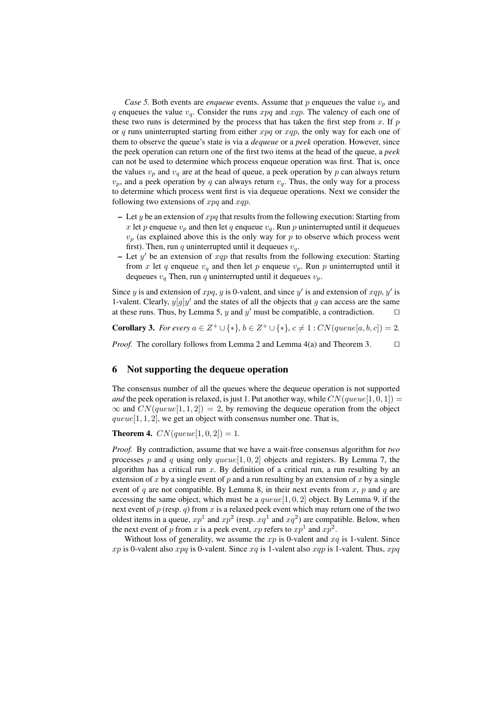*Case 5.* Both events are *enqueue* events. Assume that *p* enqueues the value *v<sup>p</sup>* and *q* enqueues the value *vq*. Consider the runs *xpq* and *xqp*. The valency of each one of these two runs is determined by the process that has taken the first step from *x*. If *p* or *q* runs uninterrupted starting from either *xpq* or *xqp*, the only way for each one of them to observe the queue's state is via a *dequeue* or a *peek* operation. However, since the peek operation can return one of the first two items at the head of the queue, a *peek* can not be used to determine which process enqueue operation was first. That is, once the values  $v_p$  and  $v_q$  are at the head of queue, a peek operation by  $p$  can always return  $v_p$ , and a peek operation by *q* can always return  $v_q$ . Thus, the only way for a process to determine which process went first is via dequeue operations. Next we consider the following two extensions of *xpq* and *xqp*.

- Let *y* be an extension of *xpq* that results from the following execution: Starting from *x* let *p* enqueue  $v_p$  and then let *q* enqueue  $v_q$ . Run *p* uninterrupted until it dequeues  $v_p$  (as explained above this is the only way for  $p$  to observe which process went first). Then, run  $q$  uninterrupted until it dequeues  $v_q$ .
- Let *y ′* be an extension of *xqp* that results from the following execution: Starting from *x* let *q* enqueue  $v_q$  and then let *p* enqueue  $v_p$ . Run *p* uninterrupted until it dequeues  $v_q$  Then, run  $q$  uninterrupted until it dequeues  $v_p$ .

Since *y* is and extension of *xpq*, *y* is 0-valent, and since *y'* is and extension of *xqp*, *y'* is 1-valent. Clearly,  $y[g]y'$  and the states of all the objects that  $g$  can access are the same at these runs. Thus, by Lemma 5, *y* and *y ′* must be compatible, a contradiction. *⊓⊔*

**Corollary 3.** *For every*  $a \in Z^+ \cup \{*\}$ ,  $b \in Z^+ \cup \{*\}$ ,  $c \neq 1$  :  $CN(\text{queue}[a, b, c]) = 2$ .

*Proof.* The corollary follows from Lemma 2 and Lemma 4(a) and Theorem 3. *□* 

## 6 Not supporting the dequeue operation

The consensus number of all the queues where the dequeue operation is not supported *and* the peek operation is relaxed, is just 1. Put another way, while  $CN(queue[1, 0, 1]) =$  $\infty$  and  $CN(queue[1, 1, 2]) = 2$ , by removing the dequeue operation from the object *queue*[1*,* 1*,* 2], we get an object with consensus number one. That is,

**Theorem 4.**  $CN(queue[1, 0, 2]) = 1$ .

*Proof.* By contradiction, assume that we have a wait-free consensus algorithm for *two* processes *p* and *q* using only *queue*[1*,* 0*,* 2] objects and registers. By Lemma 7, the algorithm has a critical run *x*. By definition of a critical run, a run resulting by an extension of  $x$  by a single event of  $p$  and a run resulting by an extension of  $x$  by a single event of *q* are not compatible. By Lemma 8, in their next events from *x*, *p* and *q* are accessing the same object, which must be a *queue*[1*,* 0*,* 2] object. By Lemma 9, if the next event of  $p$  (resp.  $q$ ) from  $x$  is a relaxed peek event which may return one of the two oldest items in a queue,  $xp^1$  and  $xp^2$  (resp.  $xq^1$  and  $xq^2$ ) are compatible. Below, when the next event of p from x is a peek event, xp refers to  $xp^1$  and  $xp^2$ .

Without loss of generality, we assume the *xp* is 0-valent and *xq* is 1-valent. Since *xp* is 0-valent also *xpq* is 0-valent. Since *xq* is 1-valent also *xqp* is 1-valent. Thus, *xpq*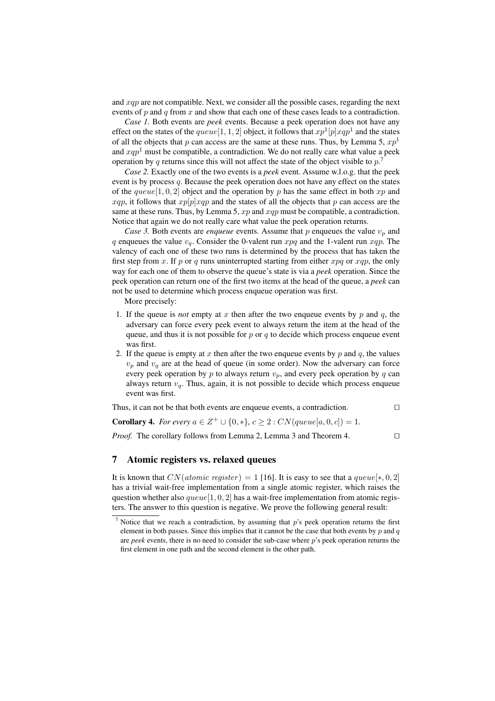and *xqp* are not compatible. Next, we consider all the possible cases, regarding the next events of *p* and *q* from *x* and show that each one of these cases leads to a contradiction.

*Case 1.* Both events are *peek* events. Because a peek operation does not have any effect on the states of the  $queue[1, 1, 2]$  object, it follows that  $xp^{1}[p]xqp^{1}$  and the states of all the objects that *p* can access are the same at these runs. Thus, by Lemma 5, *xp*<sup>1</sup> and  $xqp<sup>1</sup>$  must be compatible, a contradiction. We do not really care what value a peek operation by *q* returns since this will not affect the state of the object visible to *p*. 7

*Case 2.* Exactly one of the two events is a *peek* event. Assume w.l.o.g. that the peek event is by process *q*. Because the peek operation does not have any effect on the states of the  $queue[1, 0, 2]$  object and the operation by p has the same effect in both  $xp$  and *xqp*, it follows that  $xp[p]xqp$  and the states of all the objects that *p* can access are the same at these runs. Thus, by Lemma 5, *xp* and *xqp* must be compatible, a contradiction. Notice that again we do not really care what value the peek operation returns.

*Case 3.* Both events are *enqueue* events. Assume that *p* enqueues the value  $v_p$  and *q* enqueues the value *vq*. Consider the 0-valent run *xpq* and the 1-valent run *xqp*. The valency of each one of these two runs is determined by the process that has taken the first step from *x*. If *p* or *q* runs uninterrupted starting from either *xpq* or *xqp*, the only way for each one of them to observe the queue's state is via a *peek* operation. Since the peek operation can return one of the first two items at the head of the queue, a *peek* can not be used to determine which process enqueue operation was first.

More precisely:

- 1. If the queue is *not* empty at *x* then after the two enqueue events by *p* and *q*, the adversary can force every peek event to always return the item at the head of the queue, and thus it is not possible for *p* or *q* to decide which process enqueue event was first.
- 2. If the queue is empty at  $x$  then after the two enqueue events by  $p$  and  $q$ , the values  $v_p$  and  $v_q$  are at the head of queue (in some order). Now the adversary can force every peek operation by  $p$  to always return  $v_p$ , and every peek operation by  $q$  can always return  $v_q$ . Thus, again, it is not possible to decide which process enqueue event was first.

Thus, it can not be that both events are enqueue events, a contradiction. *⊓⊔*

**Corollary 4.** *For every*  $a \in Z^+ \cup \{0, * \}, c \geq 2 : CN(queue[a, 0, c]) = 1$ .

*Proof.* The corollary follows from Lemma 2, Lemma 3 and Theorem 4. □

## 7 Atomic registers vs. relaxed queues

It is known that  $CN(atomic \ register) = 1$  [16]. It is easy to see that a *queue*[\*, 0, 2] has a trivial wait-free implementation from a single atomic register, which raises the question whether also *queue*[1*,* 0*,* 2] has a wait-free implementation from atomic registers. The answer to this question is negative. We prove the following general result:

<sup>7</sup> Notice that we reach a contradiction, by assuming that *p*'s peek operation returns the first element in both passes. Since this implies that it cannot be the case that both events by *p* and *q* are *peek* events, there is no need to consider the sub-case where *p*'s peek operation returns the first element in one path and the second element is the other path.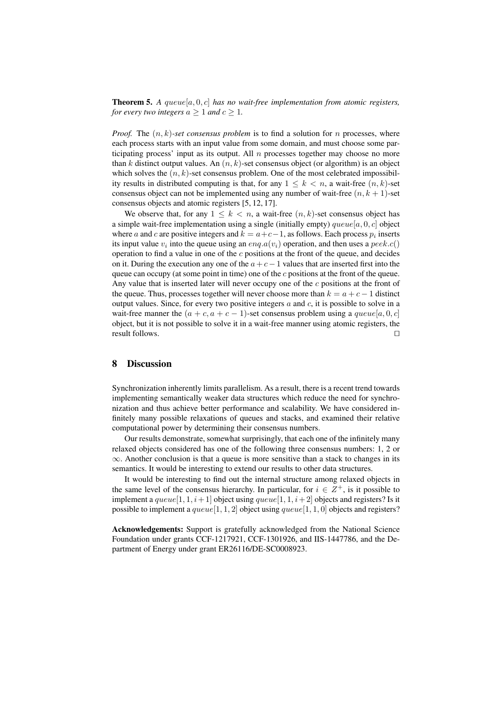Theorem 5. *A queue*[*a,* 0*, c*] *has no wait-free implementation from atomic registers, for every two integers*  $a \geq 1$  *and*  $c \geq 1$ *.* 

*Proof.* The (*n, k*)*-set consensus problem* is to find a solution for *n* processes, where each process starts with an input value from some domain, and must choose some participating process' input as its output. All *n* processes together may choose no more than *k* distinct output values. An  $(n, k)$ -set consensus object (or algorithm) is an object which solves the  $(n, k)$ -set consensus problem. One of the most celebrated impossibility results in distributed computing is that, for any  $1 \leq k \leq n$ , a wait-free  $(n, k)$ -set consensus object can not be implemented using any number of wait-free  $(n, k + 1)$ -set consensus objects and atomic registers [5, 12, 17].

We observe that, for any  $1 \leq k < n$ , a wait-free  $(n, k)$ -set consensus object has a simple wait-free implementation using a single (initially empty) *queue*[ $a, 0, c$ ] object where *a* and *c* are positive integers and  $k = a+c-1$ , as follows. Each process  $p_i$  inserts its input value  $v_i$  into the queue using an  $enq.a(v_i)$  operation, and then uses a  $peek.c()$ operation to find a value in one of the *c* positions at the front of the queue, and decides on it. During the execution any one of the *a*+*c−*1 values that are inserted first into the queue can occupy (at some point in time) one of the *c* positions at the front of the queue. Any value that is inserted later will never occupy one of the *c* positions at the front of the queue. Thus, processes together will never choose more than  $k = a + c - 1$  distinct output values. Since, for every two positive integers *a* and *c*, it is possible to solve in a wait-free manner the  $(a + c, a + c - 1)$ -set consensus problem using a *queue*[a, 0, c] object, but it is not possible to solve it in a wait-free manner using atomic registers, the result follows. *⊓⊔*

## 8 Discussion

Synchronization inherently limits parallelism. As a result, there is a recent trend towards implementing semantically weaker data structures which reduce the need for synchronization and thus achieve better performance and scalability. We have considered infinitely many possible relaxations of queues and stacks, and examined their relative computational power by determining their consensus numbers.

Our results demonstrate, somewhat surprisingly, that each one of the infinitely many relaxed objects considered has one of the following three consensus numbers: 1, 2 or *∞*. Another conclusion is that a queue is more sensitive than a stack to changes in its semantics. It would be interesting to extend our results to other data structures.

It would be interesting to find out the internal structure among relaxed objects in the same level of the consensus hierarchy. In particular, for  $i \in \mathbb{Z}^+$ , is it possible to implement a *queue*[1, 1,  $i + 1$ ] object using *queue*[1, 1,  $i + 2$ ] objects and registers? Is it possible to implement a *queue*[1*,* 1*,* 2] object using *queue*[1*,* 1*,* 0] objects and registers?

Acknowledgements: Support is gratefully acknowledged from the National Science Foundation under grants CCF-1217921, CCF-1301926, and IIS-1447786, and the Department of Energy under grant ER26116/DE-SC0008923.